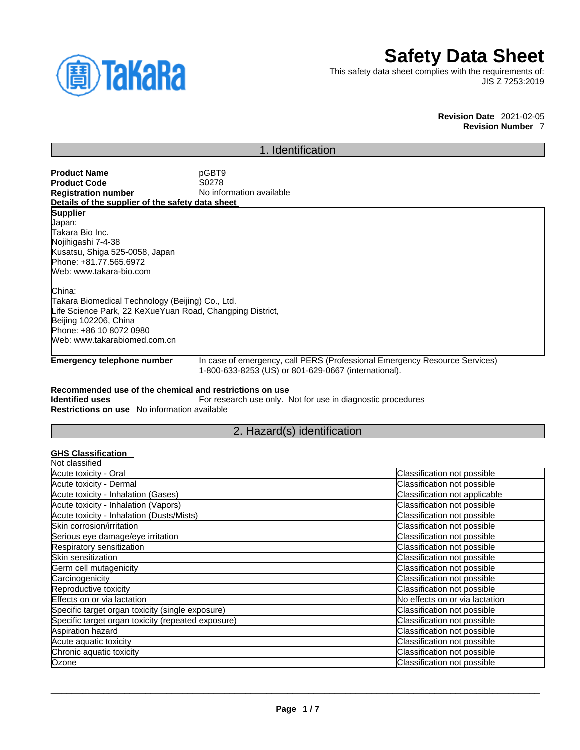

# **Safety Data Sheet**

This safety data sheet complies with the requirements of: JIS Z 7253:2019

#### **Revision Date** 2021-02-05 **Revision Number** 7

### 1. Identification

| <b>Product Name</b>                              | pGBT9                    |
|--------------------------------------------------|--------------------------|
| <b>Product Code</b>                              | S0278                    |
| <b>Registration number</b>                       | No information available |
| Details of the supplier of the safety data sheet |                          |
| <b>Supplier</b>                                  |                          |
| Japan:                                           |                          |
| Takara Bio Inc.                                  |                          |
| Nojihigashi 7-4-38                               |                          |
| Kunntou Chian EOE 00E0 Johan                     |                          |

Kusatsu, Shiga 525-0058, Japan Phone: +81.77.565.6972 Web: www.takara-bio.com

China: Takara Biomedical Technology (Beijing) Co., Ltd. Life Science Park, 22 KeXueYuan Road, Changping District, Beijing 102206, China Phone: +86 10 8072 0980 Web: www.takarabiomed.com.cn

**Emergency telephone number** In case of emergency, call PERS (Professional Emergency Resource Services) 1-800-633-8253 (US) or 801-629-0667 (international).

### **Recommended use of the chemical and restrictions on use**

**Identified uses** For research use only. Not for use in diagnostic procedures **Restrictions on use** No information available

### 2. Hazard(s) identification

### **GHS Classification**

| Classification not possible    |
|--------------------------------|
| Classification not possible    |
| Classification not applicable  |
| Classification not possible    |
| Classification not possible    |
| Classification not possible    |
| Classification not possible    |
| Classification not possible    |
| Classification not possible    |
| Classification not possible    |
| Classification not possible    |
| Classification not possible    |
| No effects on or via lactation |
| Classification not possible    |
| Classification not possible    |
| Classification not possible    |
| Classification not possible    |
| Classification not possible    |
| Classification not possible    |
|                                |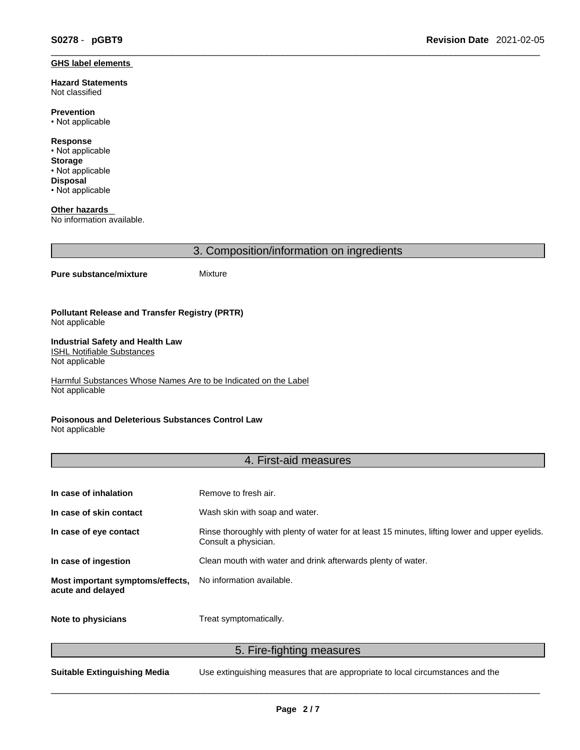#### **GHS label elements**

**Hazard Statements**  Not classified

**Prevention** • Not applicable

**Response** • Not applicable **Storage** • Not applicable **Disposal**

• Not applicable

**Other hazards**  No information available.

3. Composition/information on ingredients

### **Pure substance/mixture** Mixture

**Pollutant Release and Transfer Registry (PRTR)** Not applicable

#### **Industrial Safety and Health Law**  ISHL Notifiable Substances

Not applicable

Harmful Substances Whose Names Are to be Indicated on the Label Not applicable

### **Poisonous and Deleterious Substances Control Law**

Not applicable

### 4. First-aid measures

| In case of inhalation                                 | Remove to fresh air.                                                                                                    |
|-------------------------------------------------------|-------------------------------------------------------------------------------------------------------------------------|
| In case of skin contact                               | Wash skin with soap and water.                                                                                          |
| In case of eye contact                                | Rinse thoroughly with plenty of water for at least 15 minutes, lifting lower and upper eyelids.<br>Consult a physician. |
| In case of ingestion                                  | Clean mouth with water and drink afterwards plenty of water.                                                            |
| Most important symptoms/effects,<br>acute and delayed | No information available.                                                                                               |
| Note to physicians                                    | Treat symptomatically.                                                                                                  |

5. Fire-fighting measures

**Suitable Extinguishing Media** Use extinguishing measures that are appropriate to local circumstances and the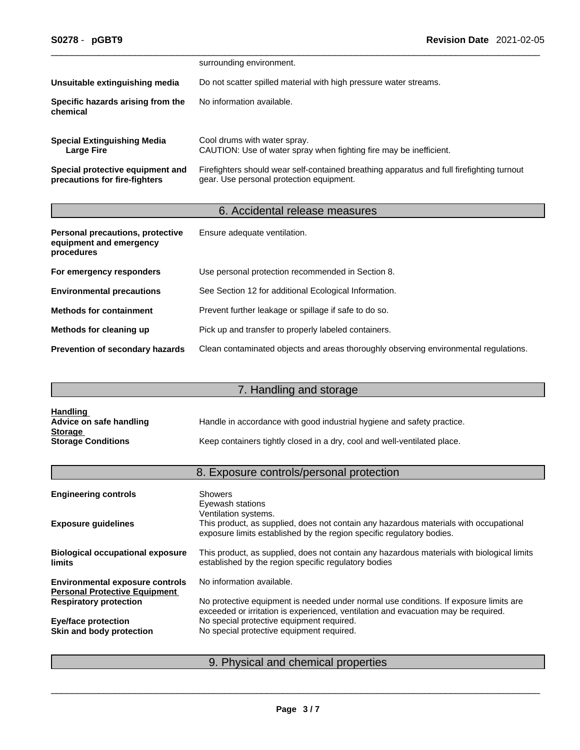|                                                                   | surrounding environment.                                                                                                              |
|-------------------------------------------------------------------|---------------------------------------------------------------------------------------------------------------------------------------|
| Unsuitable extinguishing media                                    | Do not scatter spilled material with high pressure water streams.                                                                     |
| Specific hazards arising from the<br>chemical                     | No information available.                                                                                                             |
| <b>Special Extinguishing Media</b><br>Large Fire                  | Cool drums with water spray.<br>CAUTION: Use of water spray when fighting fire may be inefficient.                                    |
| Special protective equipment and<br>precautions for fire-fighters | Firefighters should wear self-contained breathing apparatus and full firefighting turnout<br>gear. Use personal protection equipment. |

# 6. Accidental release measures

| Personal precautions, protective<br>equipment and emergency<br>procedures | Ensure adequate ventilation.                                                         |
|---------------------------------------------------------------------------|--------------------------------------------------------------------------------------|
| For emergency responders                                                  | Use personal protection recommended in Section 8.                                    |
| <b>Environmental precautions</b>                                          | See Section 12 for additional Ecological Information.                                |
| <b>Methods for containment</b>                                            | Prevent further leakage or spillage if safe to do so.                                |
| Methods for cleaning up                                                   | Pick up and transfer to properly labeled containers.                                 |
| <b>Prevention of secondary hazards</b>                                    | Clean contaminated objects and areas thoroughly observing environmental regulations. |

# 7. Handling and storage

| <u>Handling</u>           |                                                                          |
|---------------------------|--------------------------------------------------------------------------|
| Advice on safe handling   | Handle in accordance with good industrial hygiene and safety practice.   |
| <b>Storage</b>            |                                                                          |
| <b>Storage Conditions</b> | Keep containers tightly closed in a dry, cool and well-ventilated place. |

# 8. Exposure controls/personal protection

| <b>Engineering controls</b>                                                    | <b>Showers</b><br>Eyewash stations                                                                                                                                                     |
|--------------------------------------------------------------------------------|----------------------------------------------------------------------------------------------------------------------------------------------------------------------------------------|
| <b>Exposure guidelines</b>                                                     | Ventilation systems.<br>This product, as supplied, does not contain any hazardous materials with occupational<br>exposure limits established by the region specific regulatory bodies. |
| <b>Biological occupational exposure</b><br><b>limits</b>                       | This product, as supplied, does not contain any hazardous materials with biological limits<br>established by the region specific regulatory bodies                                     |
| <b>Environmental exposure controls</b><br><b>Personal Protective Equipment</b> | No information available.                                                                                                                                                              |
| <b>Respiratory protection</b>                                                  | No protective equipment is needed under normal use conditions. If exposure limits are<br>exceeded or irritation is experienced, ventilation and evacuation may be required.            |
| <b>Eye/face protection</b>                                                     | No special protective equipment required.                                                                                                                                              |
| Skin and body protection                                                       | No special protective equipment required.                                                                                                                                              |
|                                                                                |                                                                                                                                                                                        |

## 9. Physical and chemical properties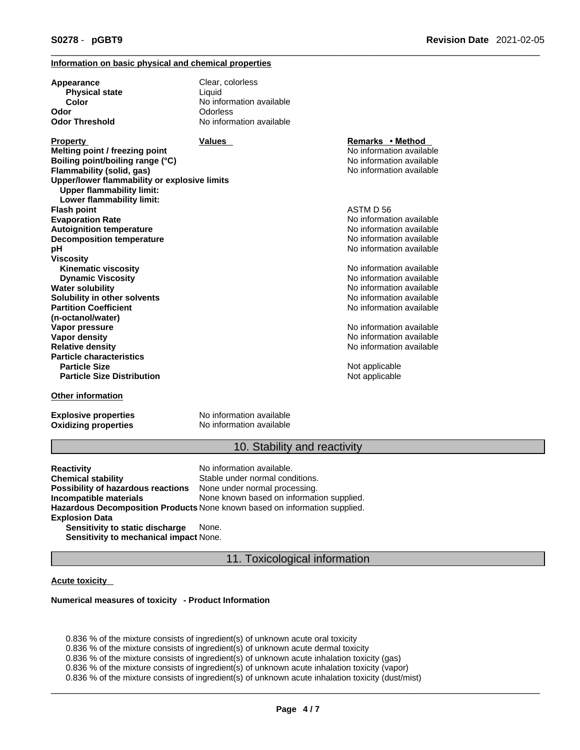### **Information on basic physical and chemical properties**

| Appearance<br><b>Physical state</b><br>Color<br>Odor                                                                                                                                                   | Clear, colorless<br>Liquid<br>No information available<br>Odorless |                                                                                                      |
|--------------------------------------------------------------------------------------------------------------------------------------------------------------------------------------------------------|--------------------------------------------------------------------|------------------------------------------------------------------------------------------------------|
| <b>Odor Threshold</b>                                                                                                                                                                                  | No information available                                           |                                                                                                      |
| <b>Property</b><br>Melting point / freezing point<br>Boiling point/boiling range (°C)<br>Flammability (solid, gas)<br>Upper/lower flammability or explosive limits<br><b>Upper flammability limit:</b> | <b>Values</b>                                                      | Remarks • Method<br>No information available<br>No information available<br>No information available |
| Lower flammability limit:<br><b>Flash point</b>                                                                                                                                                        |                                                                    | ASTM D 56                                                                                            |
| <b>Evaporation Rate</b>                                                                                                                                                                                |                                                                    | No information available                                                                             |
| <b>Autoignition temperature</b>                                                                                                                                                                        |                                                                    | No information available                                                                             |
| <b>Decomposition temperature</b>                                                                                                                                                                       |                                                                    | No information available                                                                             |
| рH                                                                                                                                                                                                     |                                                                    | No information available                                                                             |
| <b>Viscosity</b>                                                                                                                                                                                       |                                                                    |                                                                                                      |
| <b>Kinematic viscosity</b>                                                                                                                                                                             |                                                                    | No information available                                                                             |
| <b>Dynamic Viscosity</b>                                                                                                                                                                               |                                                                    | No information available                                                                             |
| <b>Water solubility</b>                                                                                                                                                                                |                                                                    | No information available                                                                             |
| Solubility in other solvents                                                                                                                                                                           |                                                                    | No information available                                                                             |
| <b>Partition Coefficient</b>                                                                                                                                                                           |                                                                    | No information available                                                                             |
| (n-octanol/water)                                                                                                                                                                                      |                                                                    |                                                                                                      |
| Vapor pressure                                                                                                                                                                                         |                                                                    | No information available                                                                             |
| Vapor density                                                                                                                                                                                          |                                                                    | No information available                                                                             |
| <b>Relative density</b>                                                                                                                                                                                |                                                                    | No information available                                                                             |
| <b>Particle characteristics</b>                                                                                                                                                                        |                                                                    |                                                                                                      |
| <b>Particle Size</b>                                                                                                                                                                                   |                                                                    | Not applicable                                                                                       |
| <b>Particle Size Distribution</b>                                                                                                                                                                      |                                                                    | Not applicable                                                                                       |
| <b>Other information</b>                                                                                                                                                                               |                                                                    |                                                                                                      |

**Explosive properties** No information available **Oxidizing properties** No information available

### 10. Stability and reactivity

**Reactivity Reactivity Reactivity No information available.**<br> **Chemical stability No information Stable under normal conditions** Stable under normal conditions.<br>None under normal processing. **Possibility of hazardous reactions Incompatible materials** None known based on information supplied. **Hazardous Decomposition Products** None known based on information supplied. **Explosion Data Sensitivity to static discharge** None.

**Sensitivity to mechanical impact** None.

### 11. Toxicological information

### **Acute toxicity**

#### **Numerical measures of toxicity - Product Information**

0.836 % of the mixture consists of ingredient(s) of unknown acute oral toxicity 0.836 % of the mixture consists of ingredient(s) of unknown acute dermal toxicity 0.836 % of the mixture consists of ingredient(s) of unknown acute inhalation toxicity (gas) 0.836 % of the mixture consists of ingredient(s) of unknown acute inhalation toxicity (vapor) 0.836 % of the mixture consists of ingredient(s) of unknown acute inhalation toxicity (dust/mist)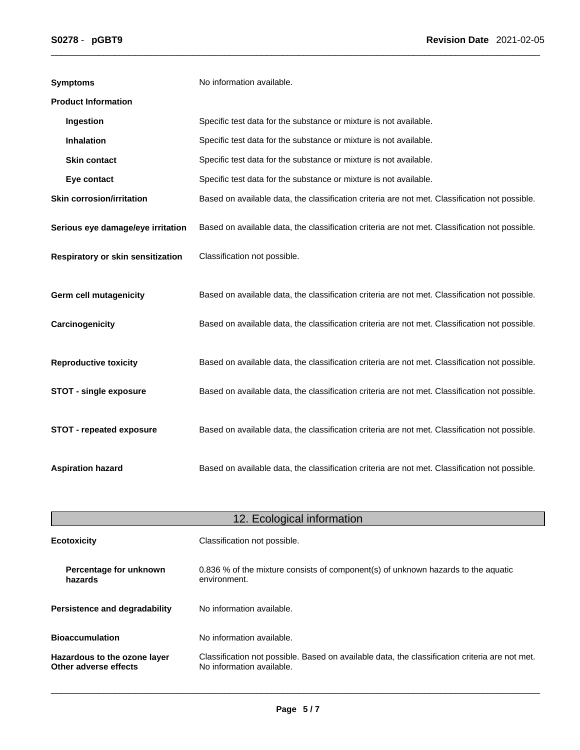| <b>Symptoms</b>                   | No information available.                                                                      |
|-----------------------------------|------------------------------------------------------------------------------------------------|
| <b>Product Information</b>        |                                                                                                |
| Ingestion                         | Specific test data for the substance or mixture is not available.                              |
| <b>Inhalation</b>                 | Specific test data for the substance or mixture is not available.                              |
| <b>Skin contact</b>               | Specific test data for the substance or mixture is not available.                              |
| Eye contact                       | Specific test data for the substance or mixture is not available.                              |
| <b>Skin corrosion/irritation</b>  | Based on available data, the classification criteria are not met. Classification not possible. |
| Serious eye damage/eye irritation | Based on available data, the classification criteria are not met. Classification not possible. |
| Respiratory or skin sensitization | Classification not possible.                                                                   |
| <b>Germ cell mutagenicity</b>     | Based on available data, the classification criteria are not met. Classification not possible. |
| Carcinogenicity                   | Based on available data, the classification criteria are not met. Classification not possible. |
| <b>Reproductive toxicity</b>      | Based on available data, the classification criteria are not met. Classification not possible. |
| <b>STOT - single exposure</b>     | Based on available data, the classification criteria are not met. Classification not possible. |
| <b>STOT - repeated exposure</b>   | Based on available data, the classification criteria are not met. Classification not possible. |
| <b>Aspiration hazard</b>          | Based on available data, the classification criteria are not met. Classification not possible. |

| 12. Ecological information                            |                                                                                                                             |  |
|-------------------------------------------------------|-----------------------------------------------------------------------------------------------------------------------------|--|
| <b>Ecotoxicity</b>                                    | Classification not possible.                                                                                                |  |
| Percentage for unknown<br>hazards                     | 0.836 % of the mixture consists of component(s) of unknown hazards to the aquatic<br>environment.                           |  |
| Persistence and degradability                         | No information available.                                                                                                   |  |
| <b>Bioaccumulation</b>                                | No information available.                                                                                                   |  |
| Hazardous to the ozone layer<br>Other adverse effects | Classification not possible. Based on available data, the classification criteria are not met.<br>No information available. |  |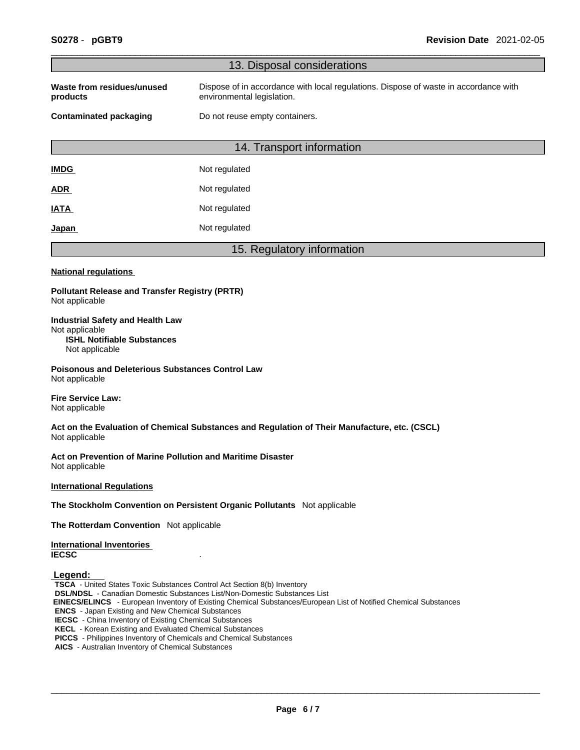|                                                                                                                                                                                                                                                                                                                                                                                                                                                                                               | 13. Disposal considerations                                                                                        |  |  |  |
|-----------------------------------------------------------------------------------------------------------------------------------------------------------------------------------------------------------------------------------------------------------------------------------------------------------------------------------------------------------------------------------------------------------------------------------------------------------------------------------------------|--------------------------------------------------------------------------------------------------------------------|--|--|--|
| Waste from residues/unused<br>products                                                                                                                                                                                                                                                                                                                                                                                                                                                        | Dispose of in accordance with local regulations. Dispose of waste in accordance with<br>environmental legislation. |  |  |  |
| Do not reuse empty containers.<br><b>Contaminated packaging</b>                                                                                                                                                                                                                                                                                                                                                                                                                               |                                                                                                                    |  |  |  |
|                                                                                                                                                                                                                                                                                                                                                                                                                                                                                               | 14. Transport information                                                                                          |  |  |  |
| <b>IMDG</b>                                                                                                                                                                                                                                                                                                                                                                                                                                                                                   | Not regulated                                                                                                      |  |  |  |
|                                                                                                                                                                                                                                                                                                                                                                                                                                                                                               | Not regulated                                                                                                      |  |  |  |
| <u>ADR</u>                                                                                                                                                                                                                                                                                                                                                                                                                                                                                    | Not regulated                                                                                                      |  |  |  |
| <b>IATA</b>                                                                                                                                                                                                                                                                                                                                                                                                                                                                                   | Not regulated                                                                                                      |  |  |  |
| <u>Japan</u>                                                                                                                                                                                                                                                                                                                                                                                                                                                                                  |                                                                                                                    |  |  |  |
|                                                                                                                                                                                                                                                                                                                                                                                                                                                                                               | 15. Regulatory information                                                                                         |  |  |  |
| <b>National regulations</b>                                                                                                                                                                                                                                                                                                                                                                                                                                                                   |                                                                                                                    |  |  |  |
| <b>Pollutant Release and Transfer Registry (PRTR)</b><br>Not applicable                                                                                                                                                                                                                                                                                                                                                                                                                       |                                                                                                                    |  |  |  |
| <b>Industrial Safety and Health Law</b><br>Not applicable<br><b>ISHL Notifiable Substances</b><br>Not applicable                                                                                                                                                                                                                                                                                                                                                                              |                                                                                                                    |  |  |  |
| Poisonous and Deleterious Substances Control Law<br>Not applicable                                                                                                                                                                                                                                                                                                                                                                                                                            |                                                                                                                    |  |  |  |
| <b>Fire Service Law:</b><br>Not applicable                                                                                                                                                                                                                                                                                                                                                                                                                                                    |                                                                                                                    |  |  |  |
| Not applicable                                                                                                                                                                                                                                                                                                                                                                                                                                                                                | Act on the Evaluation of Chemical Substances and Regulation of Their Manufacture, etc. (CSCL)                      |  |  |  |
| Act on Prevention of Marine Pollution and Maritime Disaster<br>Not applicable                                                                                                                                                                                                                                                                                                                                                                                                                 |                                                                                                                    |  |  |  |
| <b>International Regulations</b>                                                                                                                                                                                                                                                                                                                                                                                                                                                              |                                                                                                                    |  |  |  |
|                                                                                                                                                                                                                                                                                                                                                                                                                                                                                               | The Stockholm Convention on Persistent Organic Pollutants Not applicable                                           |  |  |  |
| The Rotterdam Convention Not applicable                                                                                                                                                                                                                                                                                                                                                                                                                                                       |                                                                                                                    |  |  |  |
| <b>International Inventories</b><br><b>IECSC</b>                                                                                                                                                                                                                                                                                                                                                                                                                                              |                                                                                                                    |  |  |  |
| Legend:<br>TSCA - United States Toxic Substances Control Act Section 8(b) Inventory<br><b>DSL/NDSL</b> - Canadian Domestic Substances List/Non-Domestic Substances List<br><b>ENCS</b> - Japan Existing and New Chemical Substances<br><b>IECSC</b> - China Inventory of Existing Chemical Substances<br>KECL - Korean Existing and Evaluated Chemical Substances<br>PICCS - Philippines Inventory of Chemicals and Chemical Substances<br>AICS - Australian Inventory of Chemical Substances | EINECS/ELINCS - European Inventory of Existing Chemical Substances/European List of Notified Chemical Substances   |  |  |  |